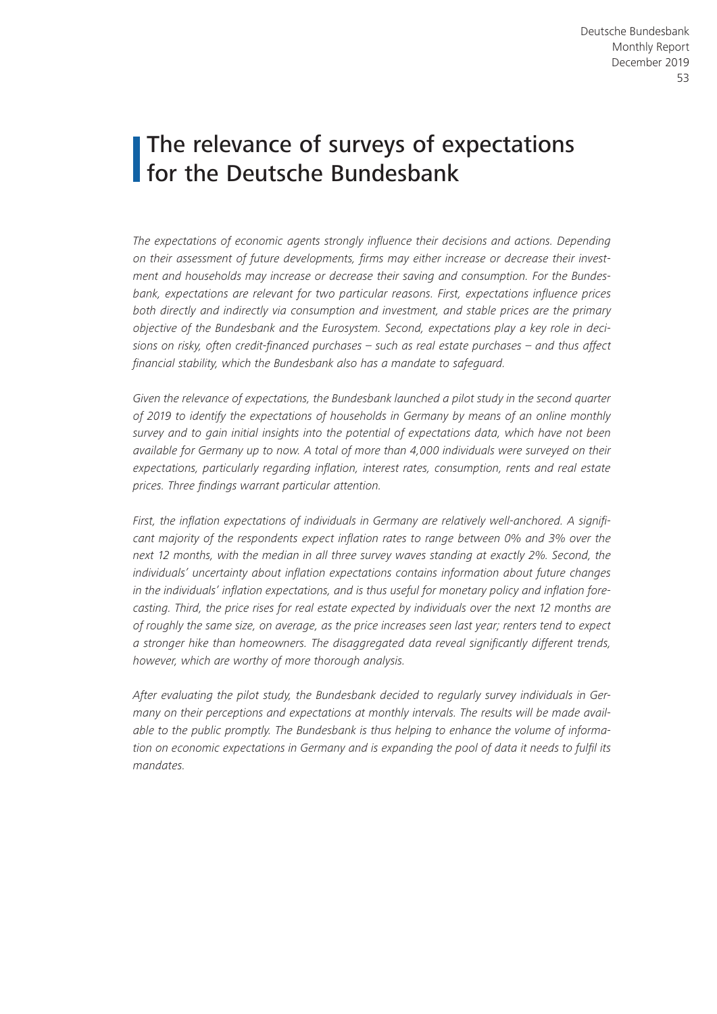# The relevance of surveys of expectations for the Deutsche Bundesbank

*The expectations of economic agents strongly influence their decisions and actions. Depending on their assessment of future developments, firms may either increase or decrease their investment and households may increase or decrease their saving and consumption. For the Bundesbank, expectations are relevant for two particular reasons. First, expectations influence prices both directly and indirectly via consumption and investment, and stable prices are the primary objective of the Bundesbank and the Eurosystem. Second, expectations play a key role in decisions on risky, often credit-financed purchases – such as real estate purchases – and thus affect financial stability, which the Bundesbank also has a mandate to safeguard.*

Given the relevance of expectations, the Bundesbank launched a pilot study in the second quarter *of 2019 to identify the expectations of households in Germany by means of an online monthly survey and to gain initial insights into the potential of expectations data, which have not been available for Germany up to now. A total of more than 4,000 individuals were surveyed on their expectations, particularly regarding inflation, interest rates, consumption, rents and real estate prices. Three findings warrant particular attention.*

*First, the inflation expectations of individuals in Germany are relatively well-anchored. A significant majority of the respondents expect inflation rates to range between 0% and 3% over the next 12 months, with the median in all three survey waves standing at exactly 2%. Second, the individuals' uncertainty about inflation expectations contains information about future changes in the individuals' inflation expectations, and is thus useful for monetary policy and inflation forecasting. Third, the price rises for real estate expected by individuals over the next 12 months are of roughly the same size, on average, as the price increases seen last year; renters tend to expect a stronger hike than homeowners. The disaggregated data reveal significantly different trends, however, which are worthy of more thorough analysis.*

*After evaluating the pilot study, the Bundesbank decided to regularly survey individuals in Germany on their perceptions and expectations at monthly intervals. The results will be made available to the public promptly. The Bundesbank is thus helping to enhance the volume of information on economic expectations in Germany and is expanding the pool of data it needs to fulfil its mandates.*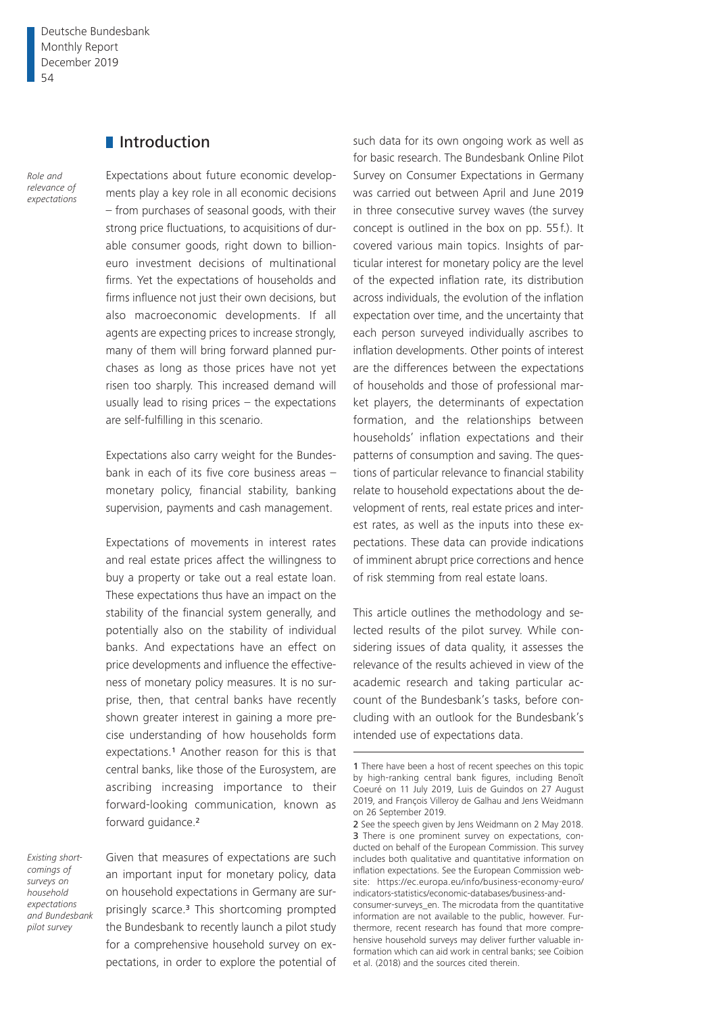### **I**Introduction

*Role and relevance of expectations* Expectations about future economic developments play a key role in all economic decisions – from purchases of seasonal goods, with their strong price fluctuations, to acquisitions of durable consumer goods, right down to billioneuro investment decisions of multinational firms. Yet the expectations of households and firms influence not just their own decisions, but also macroeconomic developments. If all agents are expecting prices to increase strongly, many of them will bring forward planned purchases as long as those prices have not yet risen too sharply. This increased demand will usually lead to rising prices – the expectations are self-fulfilling in this scenario.

Expectations also carry weight for the Bundesbank in each of its five core business areas – monetary policy, financial stability, banking supervision, payments and cash management.

Expectations of movements in interest rates and real estate prices affect the willingness to buy a property or take out a real estate loan. These expectations thus have an impact on the stability of the financial system generally, and potentially also on the stability of individual banks. And expectations have an effect on price developments and influence the effectiveness of monetary policy measures. It is no surprise, then, that central banks have recently shown greater interest in gaining a more precise understanding of how households form expectations.1 Another reason for this is that central banks, like those of the Eurosystem, are ascribing increasing importance to their forward-looking communication, known as forward guidance.<sup>2</sup>

*Existing shortcomings of surveys on household expectations and Bundesbank pilot survey*

Given that measures of expectations are such an important input for monetary policy, data on household expectations in Germany are surprisingly scarce.3 This shortcoming prompted the Bundesbank to recently launch a pilot study for a comprehensive household survey on expectations, in order to explore the potential of

such data for its own ongoing work as well as for basic research. The Bundesbank Online Pilot Survey on Consumer Expectations in Germany was carried out between April and June 2019 in three consecutive survey waves (the survey concept is outlined in the box on pp. 55f.). It covered various main topics. Insights of particular interest for monetary policy are the level of the expected inflation rate, its distribution across individuals, the evolution of the inflation expectation over time, and the uncertainty that each person surveyed individually ascribes to inflation developments. Other points of interest are the differences between the expectations of households and those of professional market players, the determinants of expectation formation, and the relationships between households' inflation expectations and their patterns of consumption and saving. The questions of particular relevance to financial stability relate to household expectations about the development of rents, real estate prices and interest rates, as well as the inputs into these expectations. These data can provide indications of imminent abrupt price corrections and hence of risk stemming from real estate loans.

This article outlines the methodology and selected results of the pilot survey. While considering issues of data quality, it assesses the relevance of the results achieved in view of the academic research and taking particular account of the Bundesbank's tasks, before concluding with an outlook for the Bundesbank's intended use of expectations data.

<sup>1</sup> There have been a host of recent speeches on this topic by high-ranking central bank figures, including Benoît Coeuré on 11 July 2019, Luis de Guindos on 27 August 2019, and François Villeroy de Galhau and Jens Weidmann on 26 September 2019.

<sup>2</sup> See the speech given by Jens Weidmann on 2 May 2018. 3 There is one prominent survey on expectations, conducted on behalf of the European Commission. This survey includes both qualitative and quantitative information on inflation expectations. See the European Commission website: [https://ec.europa.eu/info/business-economy-euro/](https://ec.europa.eu/info/business-economy-euro/indicators-statistics/economic-databases/business-and-consumer-surveys_en) [indicators-statistics/economic-databases/business-and-](https://ec.europa.eu/info/business-economy-euro/indicators-statistics/economic-databases/business-and-consumer-surveys_en)

[consumer-surveys\\_en](https://ec.europa.eu/info/business-economy-euro/indicators-statistics/economic-databases/business-and-consumer-surveys_en). The microdata from the quantitative information are not available to the public, however. Furthermore, recent research has found that more comprehensive household surveys may deliver further valuable information which can aid work in central banks; see Coibion et al. (2018) and the sources cited therein.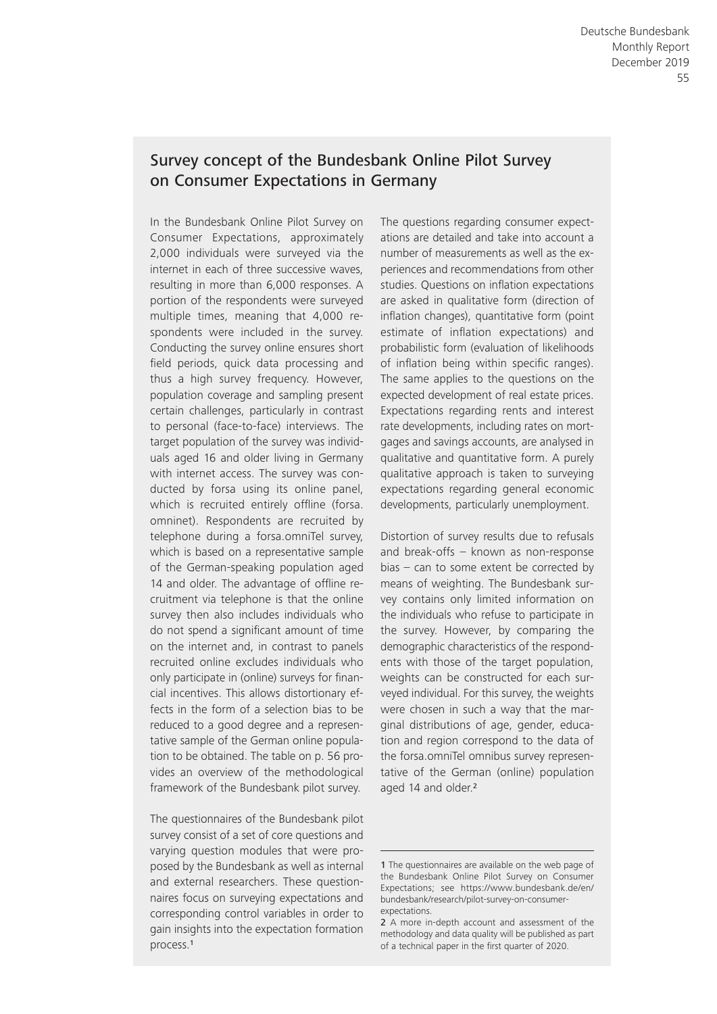# Survey concept of the Bundesbank Online Pilot Survey on Consumer Expectations in Germany

In the Bundesbank Online Pilot Survey on Consumer Expectations, approximately 2,000 individuals were surveyed via the internet in each of three successive waves, resulting in more than 6,000 responses. A portion of the respondents were surveyed multiple times, meaning that 4,000 respondents were included in the survey. Conducting the survey online ensures short field periods, quick data processing and thus a high survey frequency. However, population coverage and sampling present certain challenges, particularly in contrast to personal (face-to-face) interviews. The target population of the survey was individuals aged 16 and older living in Germany with internet access. The survey was conducted by forsa using its online panel, which is recruited entirely offline (forsa. omninet). Respondents are recruited by telephone during a forsa.omniTel survey, which is based on a representative sample of the German- speaking population aged 14 and older. The advantage of offline recruitment via telephone is that the online survey then also includes individuals who do not spend a significant amount of time on the internet and, in contrast to panels recruited online excludes individuals who only participate in (online) surveys for financial incentives. This allows distortionary effects in the form of a selection bias to be reduced to a good degree and a representative sample of the German online population to be obtained. The table on p. 56 provides an overview of the methodological framework of the Bundesbank pilot survey.

The questionnaires of the Bundesbank pilot survey consist of a set of core questions and varying question modules that were proposed by the Bundesbank as well as internal and external researchers. These questionnaires focus on surveying expectations and corresponding control variables in order to gain insights into the expectation formation process.<sup>1</sup>

The questions regarding consumer expectations are detailed and take into account a number of measurements as well as the experiences and recommendations from other studies. Questions on inflation expectations are asked in qualitative form (direction of inflation changes), quantitative form (point estimate of inflation expectations) and probabilistic form (evaluation of likelihoods of inflation being within specific ranges). The same applies to the questions on the expected development of real estate prices. Expectations regarding rents and interest rate developments, including rates on mortgages and savings accounts, are analysed in qualitative and quantitative form. A purely qualitative approach is taken to surveying expectations regarding general economic developments, particularly unemployment.

Distortion of survey results due to refusals and break-offs  $-$  known as non-response bias – can to some extent be corrected by means of weighting. The Bundesbank survey contains only limited information on the individuals who refuse to participate in the survey. However, by comparing the demographic characteristics of the respondents with those of the target population, weights can be constructed for each surveyed individual. For this survey, the weights were chosen in such a way that the marginal distributions of age, gender, education and region correspond to the data of the forsa.omniTel omnibus survey representative of the German (online) population aged 14 and older.<sup>2</sup>

<sup>1</sup> The questionnaires are available on the web page of the Bundesbank Online Pilot Survey on Consumer Expectations; see [https://www.bundesbank.de/en/](https://www.bundesbank.de/en/bundesbank/research/pilot-survey-on-consumer-expectations) [bundesbank/research/pilot-survey-on-consumer](https://www.bundesbank.de/en/bundesbank/research/pilot-survey-on-consumer-expectations)expectations.

<sup>2</sup> A more in-depth account and assessment of the methodology and data quality will be published as part of a technical paper in the first quarter of 2020.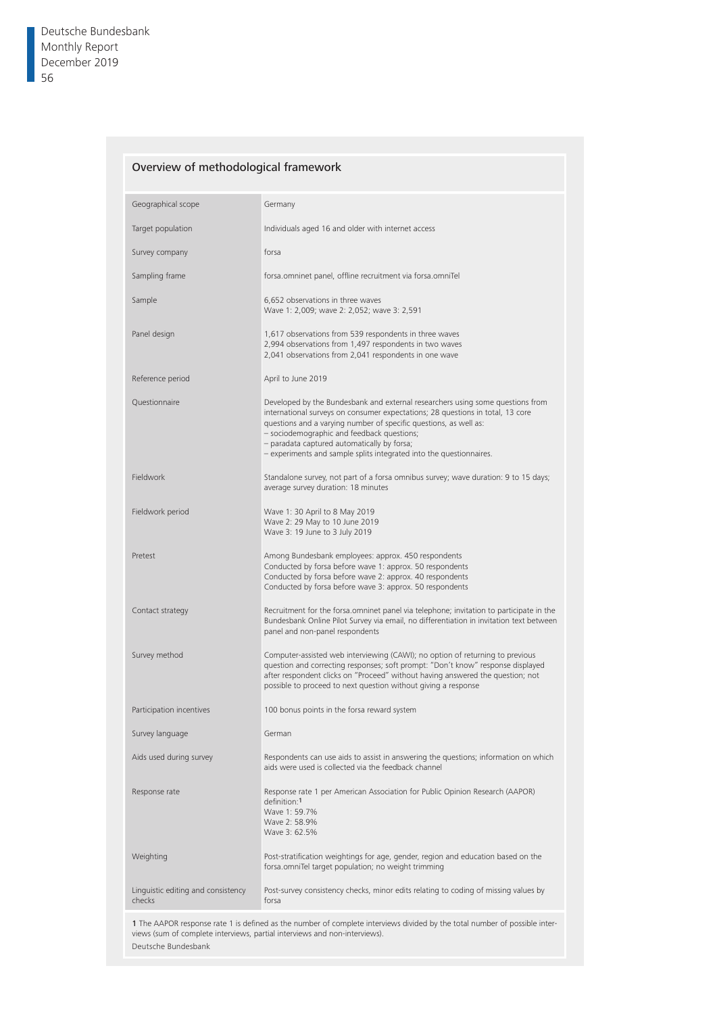### Overview of methodological framework

| Geographical scope                                                                                                                                                                                                              | Germany                                                                                                                                                                                                                                                                                                                                                                                                   |  |  |  |
|---------------------------------------------------------------------------------------------------------------------------------------------------------------------------------------------------------------------------------|-----------------------------------------------------------------------------------------------------------------------------------------------------------------------------------------------------------------------------------------------------------------------------------------------------------------------------------------------------------------------------------------------------------|--|--|--|
| Target population                                                                                                                                                                                                               | Individuals aged 16 and older with internet access                                                                                                                                                                                                                                                                                                                                                        |  |  |  |
| Survey company                                                                                                                                                                                                                  | forsa                                                                                                                                                                                                                                                                                                                                                                                                     |  |  |  |
| Sampling frame                                                                                                                                                                                                                  | forsa.omninet panel, offline recruitment via forsa.omniTel                                                                                                                                                                                                                                                                                                                                                |  |  |  |
| Sample                                                                                                                                                                                                                          | 6,652 observations in three waves<br>Wave 1: 2,009; wave 2: 2,052; wave 3: 2,591                                                                                                                                                                                                                                                                                                                          |  |  |  |
| Panel design                                                                                                                                                                                                                    | 1,617 observations from 539 respondents in three waves<br>2,994 observations from 1,497 respondents in two waves<br>2,041 observations from 2,041 respondents in one wave                                                                                                                                                                                                                                 |  |  |  |
| Reference period                                                                                                                                                                                                                | April to June 2019                                                                                                                                                                                                                                                                                                                                                                                        |  |  |  |
| Questionnaire                                                                                                                                                                                                                   | Developed by the Bundesbank and external researchers using some questions from<br>international surveys on consumer expectations; 28 questions in total, 13 core<br>questions and a varying number of specific questions, as well as:<br>- sociodemographic and feedback questions;<br>- paradata captured automatically by forsa;<br>- experiments and sample splits integrated into the questionnaires. |  |  |  |
| Fieldwork                                                                                                                                                                                                                       | Standalone survey, not part of a forsa omnibus survey; wave duration: 9 to 15 days;<br>average survey duration: 18 minutes                                                                                                                                                                                                                                                                                |  |  |  |
| Fieldwork period                                                                                                                                                                                                                | Wave 1: 30 April to 8 May 2019<br>Wave 2: 29 May to 10 June 2019<br>Wave 3: 19 June to 3 July 2019                                                                                                                                                                                                                                                                                                        |  |  |  |
| Pretest                                                                                                                                                                                                                         | Among Bundesbank employees: approx. 450 respondents<br>Conducted by forsa before wave 1: approx. 50 respondents<br>Conducted by forsa before wave 2: approx. 40 respondents<br>Conducted by forsa before wave 3: approx. 50 respondents                                                                                                                                                                   |  |  |  |
| Contact strategy                                                                                                                                                                                                                | Recruitment for the forsa.omninet panel via telephone; invitation to participate in the<br>Bundesbank Online Pilot Survey via email, no differentiation in invitation text between<br>panel and non-panel respondents                                                                                                                                                                                     |  |  |  |
| Survey method                                                                                                                                                                                                                   | Computer-assisted web interviewing (CAWI); no option of returning to previous<br>question and correcting responses; soft prompt: "Don't know" response displayed<br>after respondent clicks on "Proceed" without having answered the question; not<br>possible to proceed to next question without giving a response                                                                                      |  |  |  |
| Participation incentives                                                                                                                                                                                                        | 100 bonus points in the forsa reward system                                                                                                                                                                                                                                                                                                                                                               |  |  |  |
| Survey language                                                                                                                                                                                                                 | German                                                                                                                                                                                                                                                                                                                                                                                                    |  |  |  |
| Aids used during survey                                                                                                                                                                                                         | Respondents can use aids to assist in answering the questions; information on which<br>aids were used is collected via the feedback channel                                                                                                                                                                                                                                                               |  |  |  |
| Response rate                                                                                                                                                                                                                   | Response rate 1 per American Association for Public Opinion Research (AAPOR)<br>definition:1<br>Wave 1: 59.7%<br>Wave 2: 58.9%<br>Wave 3: 62.5%                                                                                                                                                                                                                                                           |  |  |  |
| Weighting                                                                                                                                                                                                                       | Post-stratification weightings for age, gender, region and education based on the<br>forsa.omniTel target population; no weight trimming                                                                                                                                                                                                                                                                  |  |  |  |
| Linguistic editing and consistency<br>checks                                                                                                                                                                                    | Post-survey consistency checks, minor edits relating to coding of missing values by<br>forsa                                                                                                                                                                                                                                                                                                              |  |  |  |
| 1 The AAPOR response rate 1 is defined as the number of complete interviews divided by the total number of possible inter-<br>views (sum of complete interviews, partial interviews and non-interviews).<br>Deutsche Bundesbank |                                                                                                                                                                                                                                                                                                                                                                                                           |  |  |  |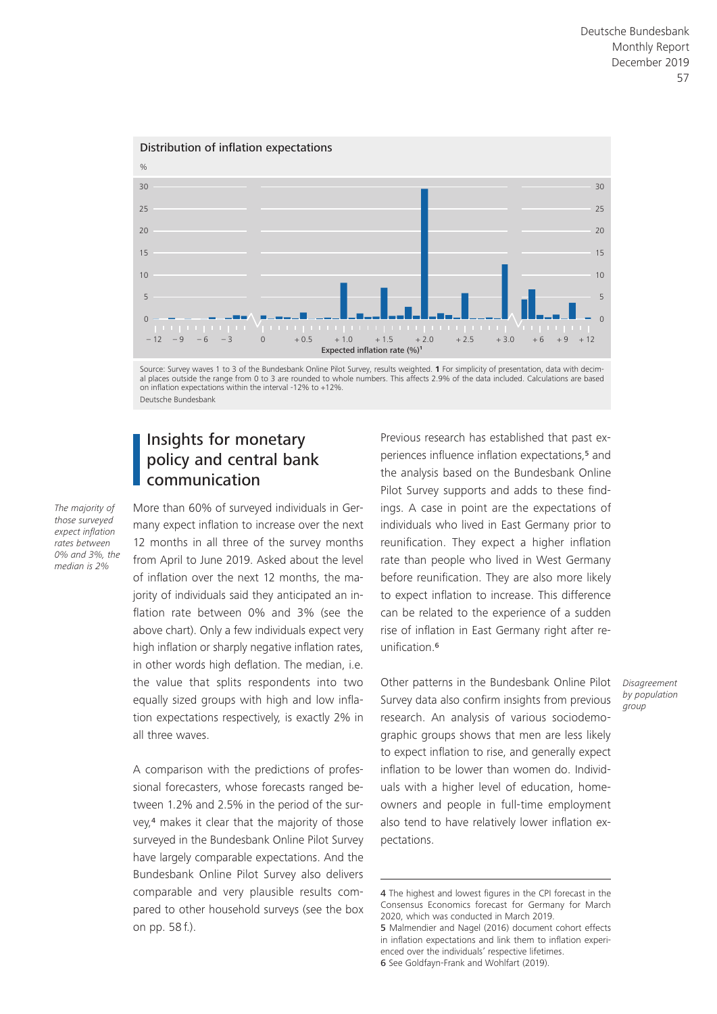

al places outside the range from 0 to 3 are rounded to whole numbers. This affects 2.9% of the data included. Calculations are based on inflation expectations within the interval -12% to +12%. Deutsche Bundesbank

### Insights for monetary policy and central bank communication

*The majority of those surveyed expect inflation rates between 0% and 3%, the median is 2%*

More than 60% of surveyed individuals in Germany expect inflation to increase over the next 12 months in all three of the survey months from April to June 2019. Asked about the level of inflation over the next 12 months, the majority of individuals said they anticipated an inflation rate between 0% and 3% (see the above chart). Only a few individuals expect very high inflation or sharply negative inflation rates, in other words high deflation. The median, i.e. the value that splits respondents into two equally sized groups with high and low inflation expectations respectively, is exactly 2% in all three waves.

A comparison with the predictions of professional forecasters, whose forecasts ranged between 1.2% and 2.5% in the period of the survey,4 makes it clear that the majority of those surveyed in the Bundesbank Online Pilot Survey have largely comparable expectations. And the Bundesbank Online Pilot Survey also delivers comparable and very plausible results compared to other household surveys (see the box on pp. 58 f.).

Previous research has established that past experiences influence inflation expectations,5 and the analysis based on the Bundesbank Online Pilot Survey supports and adds to these findings. A case in point are the expectations of individuals who lived in East Germany prior to reunification. They expect a higher inflation rate than people who lived in West Germany before reunification. They are also more likely to expect inflation to increase. This difference can be related to the experience of a sudden rise of inflation in East Germany right after reunification.<sup>6</sup>

Other patterns in the Bundesbank Online Pilot Survey data also confirm insights from previous research. An analysis of various sociodemographic groups shows that men are less likely to expect inflation to rise, and generally expect inflation to be lower than women do. Individuals with a higher level of education, homeowners and people in full-time employment also tend to have relatively lower inflation expectations.

*Disagreement by population group*

<sup>4</sup> The highest and lowest figures in the CPI forecast in the Consensus Economics forecast for Germany for March 2020, which was conducted in March 2019.

<sup>5</sup> Malmendier and Nagel (2016) document cohort effects in inflation expectations and link them to inflation experienced over the individuals' respective lifetimes. 6 See Goldfayn-Frank and Wohlfart (2019).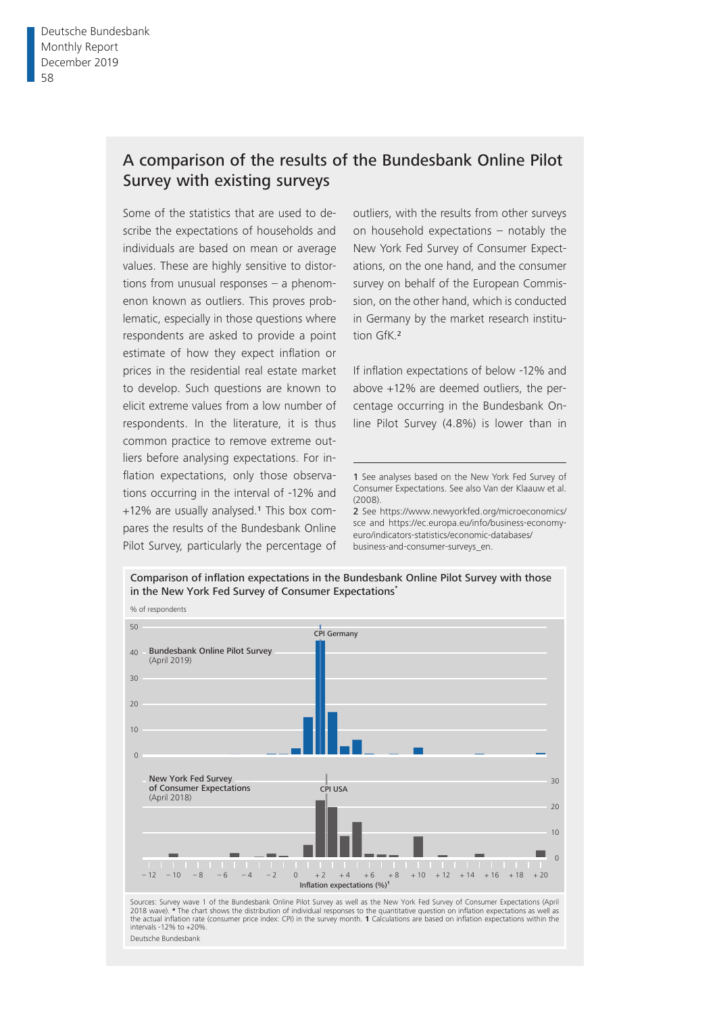# A comparison of the results of the Bundesbank Online Pilot Survey with existing surveys

Some of the statistics that are used to describe the expectations of households and individuals are based on mean or average values. These are highly sensitive to distortions from unusual responses – a phenomenon known as outliers. This proves problematic, especially in those questions where respondents are asked to provide a point estimate of how they expect inflation or prices in the residential real estate market to develop. Such questions are known to elicit extreme values from a low number of respondents. In the literature, it is thus common practice to remove extreme outliers before analysing expectations. For inflation expectations, only those observations occurring in the interval of -12% and +12% are usually analysed.1 This box compares the results of the Bundesbank Online Pilot Survey, particularly the percentage of

outliers, with the results from other surveys on household expectations – notably the New York Fed Survey of Consumer Expectations, on the one hand, and the consumer survey on behalf of the European Commission, on the other hand, which is conducted in Germany by the market research institution GfK.<sup>2</sup>

If inflation expectations of below -12% and above +12% are deemed outliers, the percentage occurring in the Bundesbank Online Pilot Survey (4.8%) is lower than in

2 See [https://www.newyorkfed.org/microeconomics/](https://www.newyorkfed.org/microeconomics/sce) [sce](https://www.newyorkfed.org/microeconomics/sce) and [https://ec.europa.eu/info/business-economy](https://ec.europa.eu/info/business-economy-euro/indicators-statistics/economic-databases/business-and-consumer-surveys_en)[euro/indicators-statistics/economic-databases/](https://ec.europa.eu/info/business-economy-euro/indicators-statistics/economic-databases/business-and-consumer-surveys_en) business-and-consumer-surveys\_en.



<sup>1</sup> See analyses based on the New York Fed Survey of Consumer Expectations. See also Van der Klaauw et al. (2008).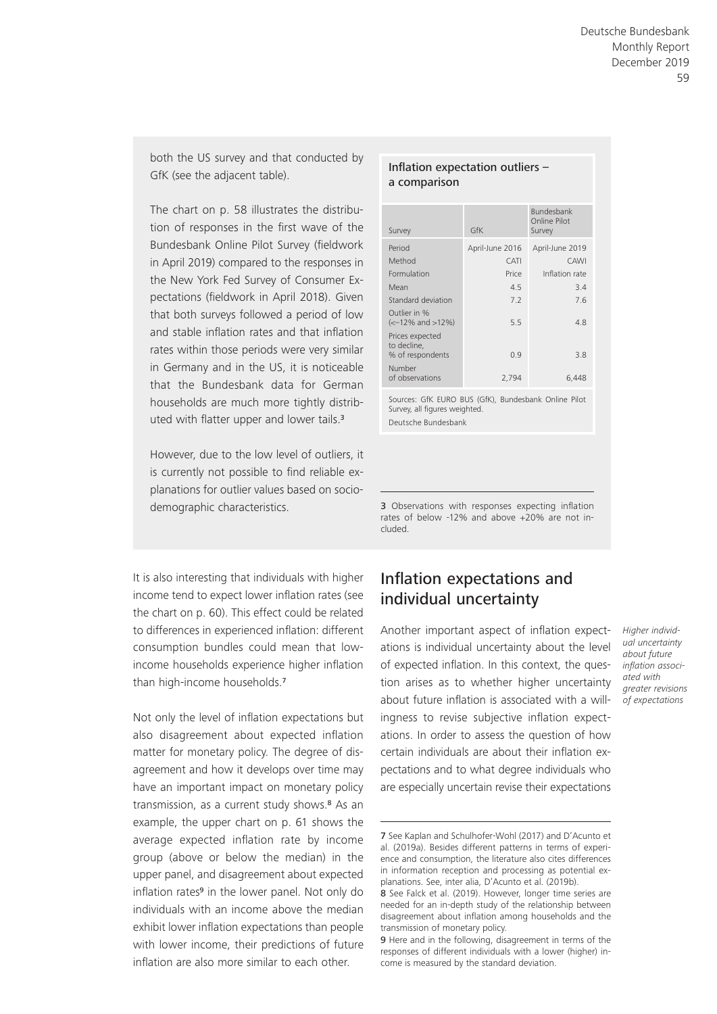both the US survey and that conducted by GfK (see the adjacent table).

The chart on p. 58 illustrates the distribution of responses in the first wave of the Bundesbank Online Pilot Survey (fieldwork in April 2019) compared to the responses in the New York Fed Survey of Consumer Expectations (fieldwork in April 2018). Given that both surveys followed a period of low and stable inflation rates and that inflation rates within those periods were very similar in Germany and in the US, it is noticeable that the Bundesbank data for German households are much more tightly distributed with flatter upper and lower tails.<sup>3</sup>

However, due to the low level of outliers, it is currently not possible to find reliable explanations for outlier values based on socio-

### It is also interesting that individuals with higher income tend to expect lower inflation rates (see the chart on p. 60). This effect could be related to differences in experienced inflation: different consumption bundles could mean that lowincome households experience higher inflation than high-income households.<sup>7</sup>

Not only the level of inflation expectations but also disagreement about expected inflation matter for monetary policy. The degree of disagreement and how it develops over time may have an important impact on monetary policy transmission, as a current study shows.<sup>8</sup> As an example, the upper chart on p. 61 shows the average expected inflation rate by income group (above or below the median) in the upper panel, and disagreement about expected inflation rates<sup>9</sup> in the lower panel. Not only do individuals with an income above the median exhibit lower inflation expectations than people with lower income, their predictions of future inflation are also more similar to each other.

#### Inflation expectation outliers  $$ a comparison

| Survey                                                                | GfK             | <b>Bundesbank</b><br>Online Pilot<br>Survey |
|-----------------------------------------------------------------------|-----------------|---------------------------------------------|
| Period                                                                | April-June 2016 | April-June 2019                             |
| Method                                                                | CATI            | CAWI                                        |
| Formulation                                                           | Price           | Inflation rate                              |
| Mean                                                                  | 4.5             | 3.4                                         |
| Standard deviation                                                    | 7.2             | 7.6                                         |
| Outlier in %<br>$\left( \left. < -12\% \right. \right)$ and $>12\%$ ) | 5.5             | 4.8                                         |
| Prices expected<br>to decline,<br>% of respondents                    | 09              | 3.8                                         |
| Number                                                                |                 |                                             |
| of observations                                                       | 2,794           | 6,448                                       |

Sources: GfK EURO BUS (GfK), Bundesbank Online Pilot Survey, all figures weighted. Deutsche Bundesbank

demographic characteristics. 3 Observations with responses expecting inflation rates of below -12% and above +20% are not included.

# Inflation expectations and individual uncertainty

Another important aspect of inflation expectations is individual uncertainty about the level of expected inflation. In this context, the question arises as to whether higher uncertainty about future inflation is associated with a willingness to revise subjective inflation expectations. In order to assess the question of how certain individuals are about their inflation expectations and to what degree individuals who are especially uncertain revise their expectations

*Higher individual uncertainty about future inflation associated with greater revisions of expectations*

<sup>7</sup> See Kaplan and Schulhofer-Wohl (2017) and D'Acunto et al. (2019a). Besides different patterns in terms of experience and consumption, the literature also cites differences in information reception and processing as potential explanations. See, inter alia, D'Acunto et al. (2019b).

<sup>8</sup> See Falck et al. (2019). However, longer time series are needed for an in-depth study of the relationship between disagreement about inflation among households and the transmission of monetary policy.

<sup>9</sup> Here and in the following, disagreement in terms of the responses of different individuals with a lower (higher) income is measured by the standard deviation.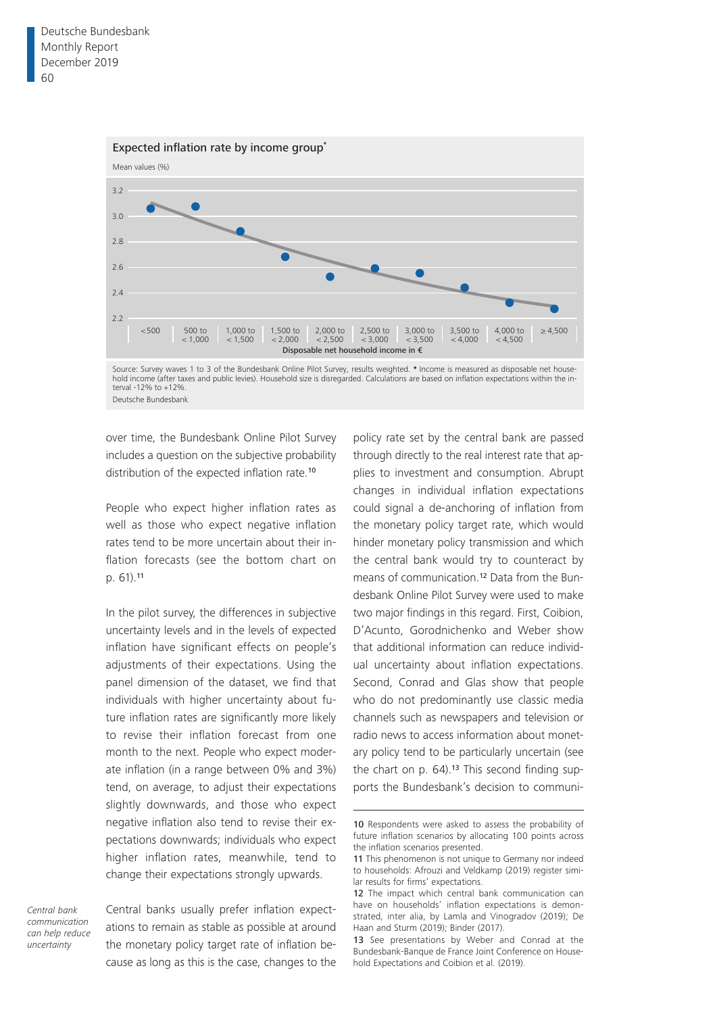

Deutsche Bundesbank

over time, the Bundesbank Online Pilot Survey includes a question on the subjective probability distribution of the expected inflation rate.<sup>10</sup>

People who expect higher inflation rates as well as those who expect negative inflation rates tend to be more uncertain about their inflation forecasts (see the bottom chart on p. 61).<sup>11</sup>

In the pilot survey, the differences in subjective uncertainty levels and in the levels of expected inflation have significant effects on people's adjustments of their expectations. Using the panel dimension of the dataset, we find that individuals with higher uncertainty about future inflation rates are significantly more likely to revise their inflation forecast from one month to the next. People who expect moderate inflation (in a range between 0% and 3%) tend, on average, to adjust their expectations slightly downwards, and those who expect negative inflation also tend to revise their expectations downwards; individuals who expect higher inflation rates, meanwhile, tend to change their expectations strongly upwards.

*Central bank communication can help reduce uncertainty*

Central banks usually prefer inflation expectations to remain as stable as possible at around the monetary policy target rate of inflation because as long as this is the case, changes to the

policy rate set by the central bank are passed through directly to the real interest rate that applies to investment and consumption. Abrupt changes in individual inflation expectations could signal a de-anchoring of inflation from the monetary policy target rate, which would hinder monetary policy transmission and which the central bank would try to counteract by means of communication.12 Data from the Bundesbank Online Pilot Survey were used to make two major findings in this regard. First, Coibion, D'Acunto, Gorodnichenko and Weber show that additional information can reduce individual uncertainty about inflation expectations. Second, Conrad and Glas show that people who do not predominantly use classic media channels such as newspapers and television or radio news to access information about monetary policy tend to be particularly uncertain (see the chart on p. 64).<sup>13</sup> This second finding supports the Bundesbank's decision to communi-

<sup>10</sup> Respondents were asked to assess the probability of future inflation scenarios by allocating 100 points across the inflation scenarios presented.

<sup>11</sup> This phenomenon is not unique to Germany nor indeed to households: Afrouzi and Veldkamp (2019) register similar results for firms' expectations.

<sup>12</sup> The impact which central bank communication can have on households' inflation expectations is demonstrated, inter alia, by Lamla and Vinogradov (2019); De Haan and Sturm (2019); Binder (2017).

<sup>13</sup> See presentations by Weber and Conrad at the Bundesbank-Banque de France Joint Conference on Household Expectations and Coibion et al. (2019).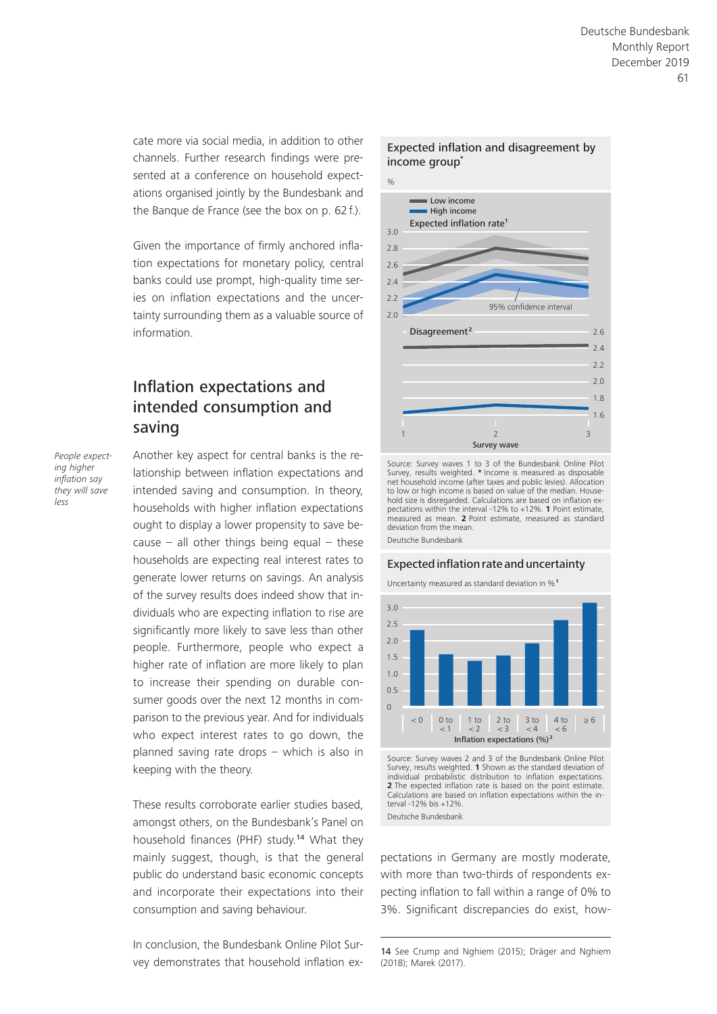cate more via social media, in addition to other channels. Further research findings were presented at a conference on household expectations organised jointly by the Bundesbank and the Banque de France (see the box on p. 62 f.).

Given the importance of firmly anchored inflation expectations for monetary policy, central banks could use prompt, high-quality time series on inflation expectations and the uncertainty surrounding them as a valuable source of information.

# Inflation expectations and intended consumption and saving

*People expecting higher inflation say they will save less*

Another key aspect for central banks is the relationship between inflation expectations and intended saving and consumption. In theory, households with higher inflation expectations ought to display a lower propensity to save because – all other things being equal – these households are expecting real interest rates to generate lower returns on savings. An analysis of the survey results does indeed show that individuals who are expecting inflation to rise are significantly more likely to save less than other people. Furthermore, people who expect a higher rate of inflation are more likely to plan to increase their spending on durable consumer goods over the next 12 months in comparison to the previous year. And for individuals who expect interest rates to go down, the planned saving rate drops – which is also in keeping with the theory.

These results corroborate earlier studies based, amongst others, on the Bundesbank's Panel on household finances (PHF) study.14 What they mainly suggest, though, is that the general public do understand basic economic concepts and incorporate their expectations into their consumption and saving behaviour.

In conclusion, the Bundesbank Online Pilot Survey demonstrates that household inflation ex-



Source: Survey waves 1 to 3 of the Bundesbank Online Pilot Survey, results weighted. **\*** Income is measured as disposable net household income (after taxes and public levies). Allocation to low or high income is based on value of the median. Household size is disregarded. Calculations are based on inflation expectations within the interval -12% to +12%. **1** Point estimate, measured as mean. **2** Point estimate, measured as standard deviation from the mean. Deutsche Bundesbank

#### Expected inflation rate and uncertainty

Uncertainty measured as standard deviation in %**<sup>1</sup>**



Source: Survey waves 2 and 3 of the Bundesbank Online Pilot Survey, results weighted. **1** Shown as the standard deviation of individual probabilistic distribution to inflation expectations. **2** The expected inflation rate is based on the point estimate. Calculations are based on inflation expectations within the interval -12% bis +12%. Deutsche Bundesbank

pectations in Germany are mostly moderate, with more than two-thirds of respondents expecting inflation to fall within a range of 0% to 3%. Significant discrepancies do exist, how-

<sup>14</sup> See Crump and Nghiem (2015); Dräger and Nghiem (2018); Marek (2017).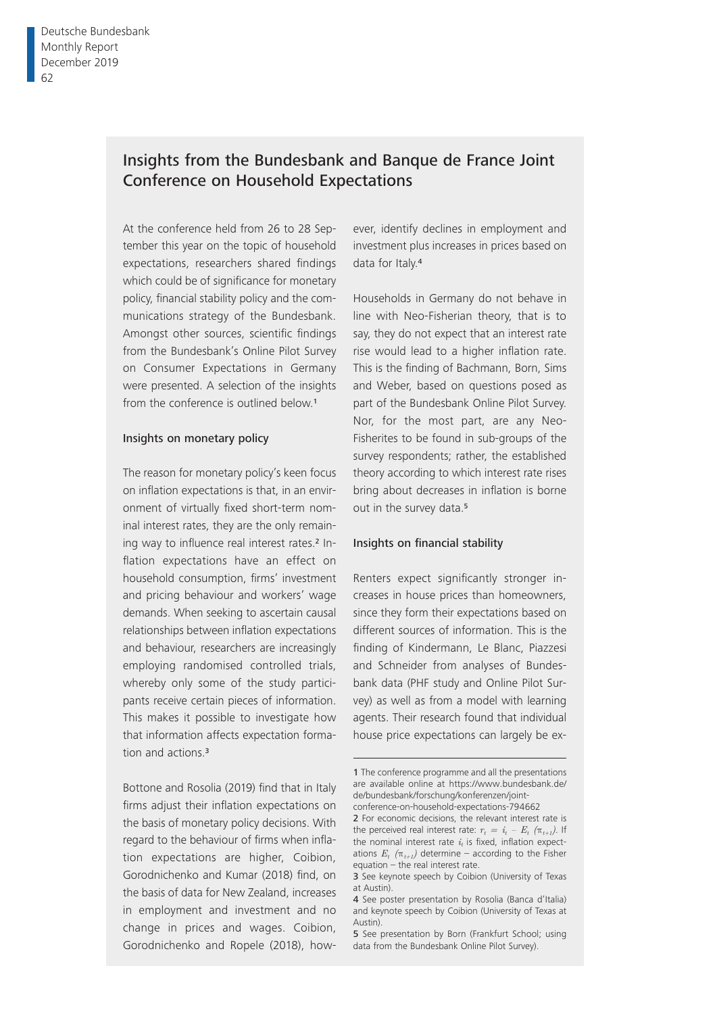# Insights from the Bundesbank and Banque de France Joint Conference on Household Expectations

At the conference held from 26 to 28 September this year on the topic of household expectations, researchers shared findings which could be of significance for monetary policy, financial stability policy and the communications strategy of the Bundesbank. Amongst other sources, scientific findings from the Bundesbank's Online Pilot Survey on Consumer Expectations in Germany were presented. A selection of the insights from the conference is outlined below.<sup>1</sup>

#### Insights on monetary policy

The reason for monetary policy's keen focus on inflation expectations is that, in an environment of virtually fixed short-term nominal interest rates, they are the only remaining way to influence real interest rates.<sup>2</sup> Inflation expectations have an effect on household consumption, firms' investment and pricing behaviour and workers' wage demands. When seeking to ascertain causal relationships between inflation expectations and behaviour, researchers are increasingly employing randomised controlled trials, whereby only some of the study participants receive certain pieces of information. This makes it possible to investigate how that information affects expectation formation and actions.<sup>3</sup>

Bottone and Rosolia (2019) find that in Italy firms adjust their inflation expectations on the basis of monetary policy decisions. With regard to the behaviour of firms when inflation expectations are higher, Coibion, Gorodnichenko and Kumar (2018) find, on the basis of data for New Zealand, increases in employment and investment and no change in prices and wages. Coibion, Gorodnichenko and Ropele (2018), how-

ever, identify declines in employment and investment plus increases in prices based on data for Italy.<sup>4</sup>

Households in Germany do not behave in line with Neo-Fisherian theory, that is to say, they do not expect that an interest rate rise would lead to a higher inflation rate. This is the finding of Bachmann, Born, Sims and Weber, based on questions posed as part of the Bundesbank Online Pilot Survey. Nor, for the most part, are any Neo-Fisherites to be found in sub-groups of the survey respondents; rather, the established theory according to which interest rate rises bring about decreases in inflation is borne out in the survey data.<sup>5</sup>

#### Insights on financial stability

Renters expect significantly stronger increases in house prices than homeowners, since they form their expectations based on different sources of information. This is the finding of Kindermann, Le Blanc, Piazzesi and Schneider from analyses of Bundesbank data (PHF study and Online Pilot Survey) as well as from a model with learning agents. Their research found that individual house price expectations can largely be ex-

<sup>1</sup> The conference programme and all the presentations are available online at [https://www.bundesbank.de/](https://www.bundesbank.de/de/bundesbank/forschung/konferenzen/joint-conference-on-household-expectations-794662) de/bundesbank/forschung/konferenzen/joint[conference-on-household-expectations-794662](https://www.bundesbank.de/de/bundesbank/forschung/konferenzen/joint-conference-on-household-expectations-794662) 2 For economic decisions, the relevant interest rate is

the perceived real interest rate:  $r_t = i_t - E_t$  ( $\pi_{t+1}$ ). If the nominal interest rate  $i_t$  is fixed, inflation expectations  $E_t$  ( $\pi_{t+1}$ ) determine – according to the Fisher equation – the real interest rate.

<sup>3</sup> See keynote speech by Coibion (University of Texas at Austin).

<sup>4</sup> See poster presentation by Rosolia (Banca d'Italia) and keynote speech by Coibion (University of Texas at Austin).

<sup>5</sup> See presentation by Born (Frankfurt School; using data from the Bundesbank Online Pilot Survey).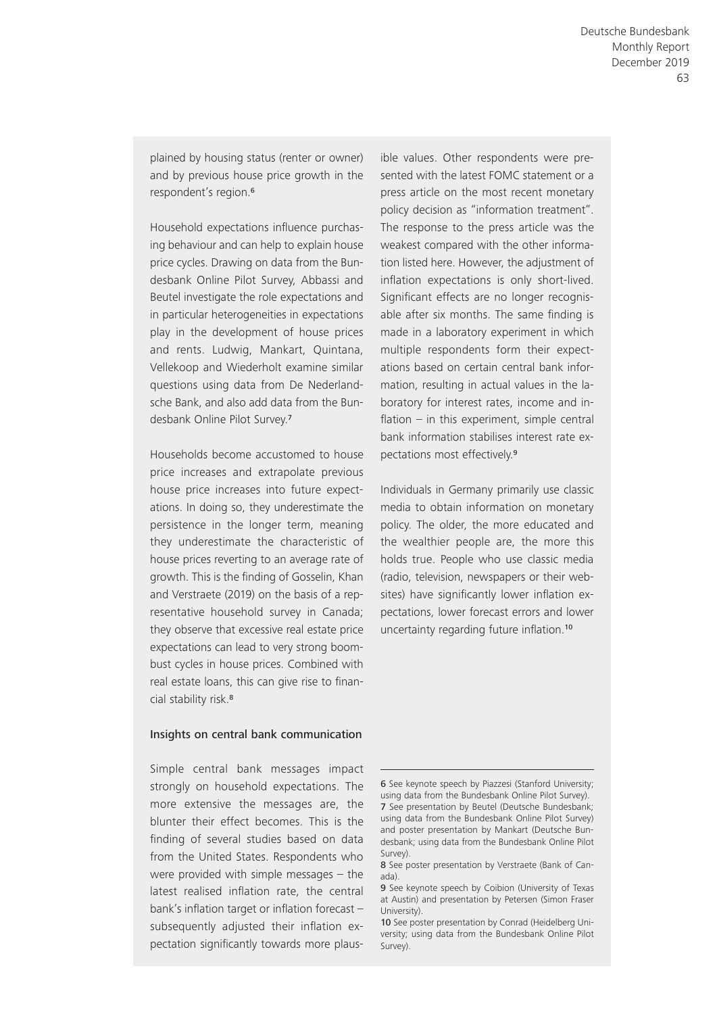plained by housing status (renter or owner) and by previous house price growth in the respondent's region.<sup>6</sup>

Household expectations influence purchasing behaviour and can help to explain house price cycles. Drawing on data from the Bundesbank Online Pilot Survey, Abbassi and Beutel investigate the role expectations and in particular heterogeneities in expectations play in the development of house prices and rents. Ludwig, Mankart, Quintana, Vellekoop and Wiederholt examine similar questions using data from De Nederlandsche Bank, and also add data from the Bundesbank Online Pilot Survey.<sup>7</sup>

Households become accustomed to house price increases and extrapolate previous house price increases into future expectations. In doing so, they underestimate the persistence in the longer term, meaning they underestimate the characteristic of house prices reverting to an average rate of growth. This is the finding of Gosselin, Khan and Verstraete (2019) on the basis of a representative household survey in Canada; they observe that excessive real estate price expectations can lead to very strong boombust cycles in house prices. Combined with real estate loans, this can give rise to financial stability risk.<sup>8</sup>

#### Insights on central bank communication

Simple central bank messages impact strongly on household expectations. The more extensive the messages are, the blunter their effect becomes. This is the finding of several studies based on data from the United States. Respondents who were provided with simple messages – the latest realised inflation rate, the central bank's inflation target or inflation forecast  $$ subsequently adjusted their inflation expectation significantly towards more plausible values. Other respondents were presented with the latest FOMC statement or a press article on the most recent monetary policy decision as "information treatment". The response to the press article was the weakest compared with the other information listed here. However, the adjustment of inflation expectations is only short-lived. Significant effects are no longer recognisable after six months. The same finding is made in a laboratory experiment in which multiple respondents form their expectations based on certain central bank information, resulting in actual values in the laboratory for interest rates, income and inflation – in this experiment, simple central bank information stabilises interest rate expectations most effectively.<sup>9</sup>

Individuals in Germany primarily use classic media to obtain information on monetary policy. The older, the more educated and the wealthier people are, the more this holds true. People who use classic media (radio, television, newspapers or their websites) have significantly lower inflation expectations, lower forecast errors and lower uncertainty regarding future inflation.<sup>10</sup>

<sup>6</sup> See keynote speech by Piazzesi (Stanford University; using data from the Bundesbank Online Pilot Survey). 7 See presentation by Beutel (Deutsche Bundesbank; using data from the Bundesbank Online Pilot Survey) and poster presentation by Mankart (Deutsche Bundesbank; using data from the Bundesbank Online Pilot Survey).

<sup>8</sup> See poster presentation by Verstraete (Bank of Canada).

<sup>9</sup> See keynote speech by Coibion (University of Texas at Austin) and presentation by Petersen (Simon Fraser University).

<sup>10</sup> See poster presentation by Conrad (Heidelberg University; using data from the Bundesbank Online Pilot Survey).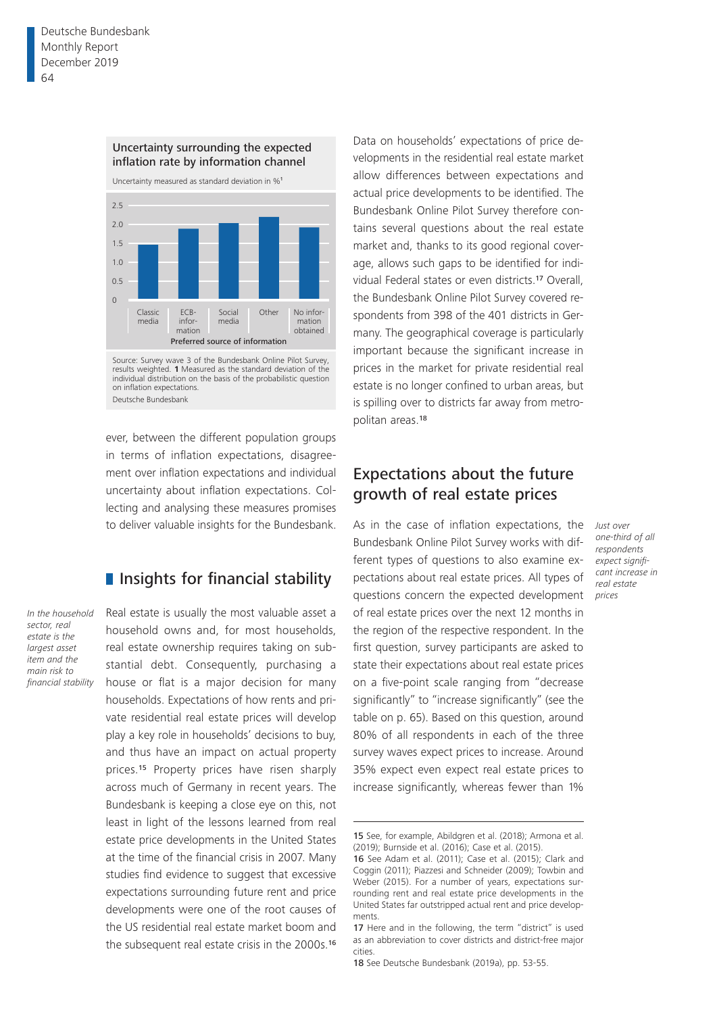

Source: Survey wave 3 of the Bundesbank Online Pilot Survey, results weighted. **1** Measured as the standard deviation of the individual distribution on the basis of the probabilistic question on inflation expectations. Deutsche Bundesbank

ever, between the different population groups in terms of inflation expectations, disagreement over inflation expectations and individual uncertainty about inflation expectations. Collecting and analysing these measures promises to deliver valuable insights for the Bundesbank.

### **I** Insights for financial stability

*In the household sector, real estate is the largest asset item and the main risk to financial stability* Real estate is usually the most valuable asset a household owns and, for most households, real estate ownership requires taking on substantial debt. Consequently, purchasing a house or flat is a major decision for many households. Expectations of how rents and private residential real estate prices will develop play a key role in households' decisions to buy, and thus have an impact on actual property prices.<sup>15</sup> Property prices have risen sharply across much of Germany in recent years. The Bundesbank is keeping a close eye on this, not least in light of the lessons learned from real estate price developments in the United States at the time of the financial crisis in 2007. Many studies find evidence to suggest that excessive expectations surrounding future rent and price developments were one of the root causes of the US residential real estate market boom and the subsequent real estate crisis in the 2000s.<sup>16</sup>

Data on households' expectations of price developments in the residential real estate market allow differences between expectations and actual price developments to be identified. The Bundesbank Online Pilot Survey therefore contains several questions about the real estate market and, thanks to its good regional coverage, allows such gaps to be identified for individual Federal states or even districts.17 Overall, the Bundesbank Online Pilot Survey covered respondents from 398 of the 401 districts in Germany. The geographical coverage is particularly important because the significant increase in prices in the market for private residential real estate is no longer confined to urban areas, but is spilling over to districts far away from metropolitan areas.<sup>18</sup>

### Expectations about the future growth of real estate prices

*Just over one-third of all respondents expect significant increase in real estate prices*

As in the case of inflation expectations, the Bundesbank Online Pilot Survey works with different types of questions to also examine expectations about real estate prices. All types of questions concern the expected development of real estate prices over the next 12 months in the region of the respective respondent. In the first question, survey participants are asked to state their expectations about real estate prices on a five-point scale ranging from "decrease significantly" to "increase significantly" (see the table on p. 65). Based on this question, around 80% of all respondents in each of the three survey waves expect prices to increase. Around 35% expect even expect real estate prices to increase significantly, whereas fewer than 1%

<sup>15</sup> See, for example, Abildgren et al. (2018); Armona et al. (2019); Burnside et al. (2016); Case et al. (2015).

<sup>16</sup> See Adam et al. (2011); Case et al. (2015); Clark and Coggin (2011); Piazzesi and Schneider (2009); Towbin and Weber (2015). For a number of years, expectations surrounding rent and real estate price developments in the United States far outstripped actual rent and price developments.

<sup>17</sup> Here and in the following, the term "district" is used as an abbreviation to cover districts and district-free major cities.

<sup>18</sup> See Deutsche Bundesbank (2019a), pp. 53-55.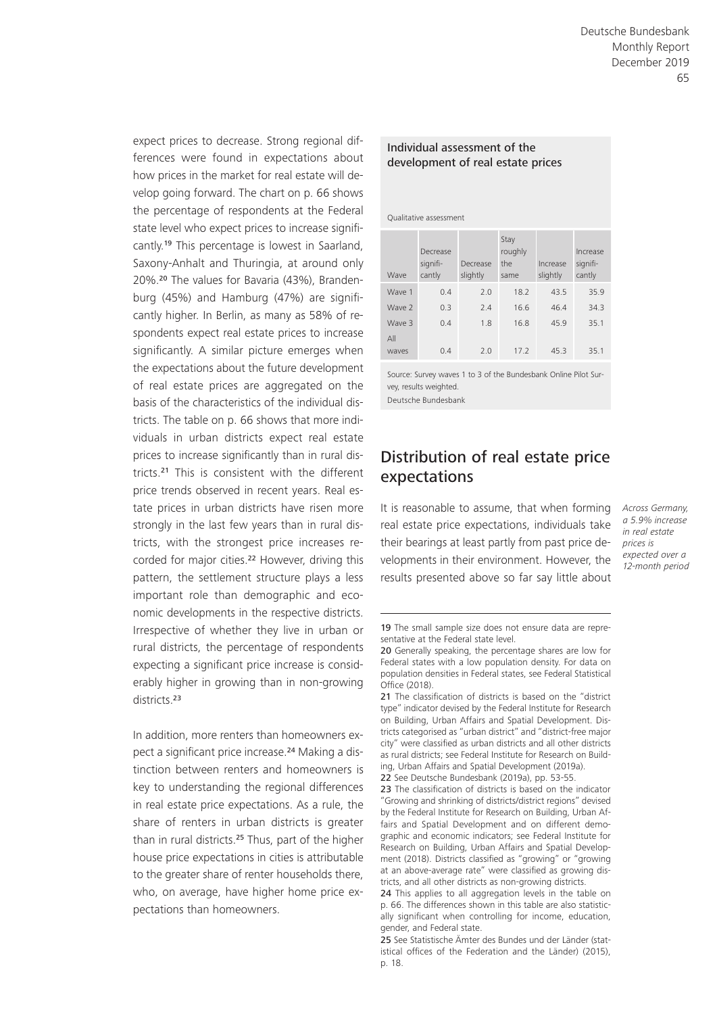expect prices to decrease. Strong regional differences were found in expectations about how prices in the market for real estate will develop going forward. The chart on p. 66 shows the percentage of respondents at the Federal state level who expect prices to increase significantly.19 This percentage is lowest in Saarland, Saxony-Anhalt and Thuringia, at around only 20%.20 The values for Bavaria (43%), Brandenburg (45%) and Hamburg (47%) are significantly higher. In Berlin, as many as 58% of respondents expect real estate prices to increase significantly. A similar picture emerges when the expectations about the future development of real estate prices are aggregated on the basis of the characteristics of the individual districts. The table on p. 66 shows that more individuals in urban districts expect real estate prices to increase significantly than in rural districts.21 This is consistent with the different price trends observed in recent years. Real estate prices in urban districts have risen more strongly in the last few years than in rural districts, with the strongest price increases recorded for major cities.<sup>22</sup> However, driving this pattern, the settlement structure plays a less important role than demographic and economic developments in the respective districts. Irrespective of whether they live in urban or rural districts, the percentage of respondents expecting a significant price increase is considerably higher in growing than in non-growing districts.<sup>23</sup>

In addition, more renters than homeowners expect a significant price increase.<sup>24</sup> Making a distinction between renters and homeowners is key to understanding the regional differences in real estate price expectations. As a rule, the share of renters in urban districts is greater than in rural districts.25 Thus, part of the higher house price expectations in cities is attributable to the greater share of renter households there, who, on average, have higher home price expectations than homeowners.

#### Individual assessment of the development of real estate prices

Qualitative assessment

| Wave         | Decrease<br>signifi-<br>cantly | Decrease<br>slightly | Stay<br>roughly<br>the<br>same | Increase<br>slightly | Increase<br>signifi-<br>cantly |
|--------------|--------------------------------|----------------------|--------------------------------|----------------------|--------------------------------|
| Wave 1       | 0.4                            | 7.0                  | 18.2                           | 43.5                 | 35.9                           |
| Wave 2       | 0.3                            | 7.4                  | 16.6                           | 46.4                 | 34.3                           |
| Wave 3       | 04                             | 1.8                  | 16.8                           | 45.9                 | 35.1                           |
| AlI<br>waves | 0.4                            | 7.0                  | 17.2                           | 45.3                 | 35.1                           |

Source: Survey waves 1 to 3 of the Bundesbank Online Pilot Survey, results weighted. Deutsche Bundesbank

Distribution of real estate price expectations

It is reasonable to assume, that when forming *Across Germany,*  real estate price expectations, individuals take their bearings at least partly from past price developments in their environment. However, the results presented above so far say little about

*a 5.9% increase in real estate prices is expected over a 12-month period*

<sup>19</sup> The small sample size does not ensure data are representative at the Federal state level.

<sup>20</sup> Generally speaking, the percentage shares are low for Federal states with a low population density. For data on population densities in Federal states, see Federal Statistical Office (2018).

<sup>21</sup> The classification of districts is based on the "district type" indicator devised by the Federal Institute for Research on Building, Urban Affairs and Spatial Development. Districts categorised as "urban district" and "district-free major city" were classified as urban districts and all other districts as rural districts; see Federal Institute for Research on Building, Urban Affairs and Spatial Development (2019a). 22 See Deutsche Bundesbank (2019a), pp. 53-55.

<sup>23</sup> The classification of districts is based on the indicator "Growing and shrinking of districts/district regions" devised by the Federal Institute for Research on Building, Urban Affairs and Spatial Development and on different demographic and economic indicators; see Federal Institute for Research on Building, Urban Affairs and Spatial Development (2018). Districts classified as "growing" or "growing at an above-average rate" were classified as growing districts, and all other districts as non-growing districts.

<sup>24</sup> This applies to all aggregation levels in the table on p. 66. The differences shown in this table are also statistically significant when controlling for income, education, gender, and Federal state.

<sup>25</sup> See Statistische Ämter des Bundes und der Länder (statistical offices of the Federation and the Länder) (2015), p. 18.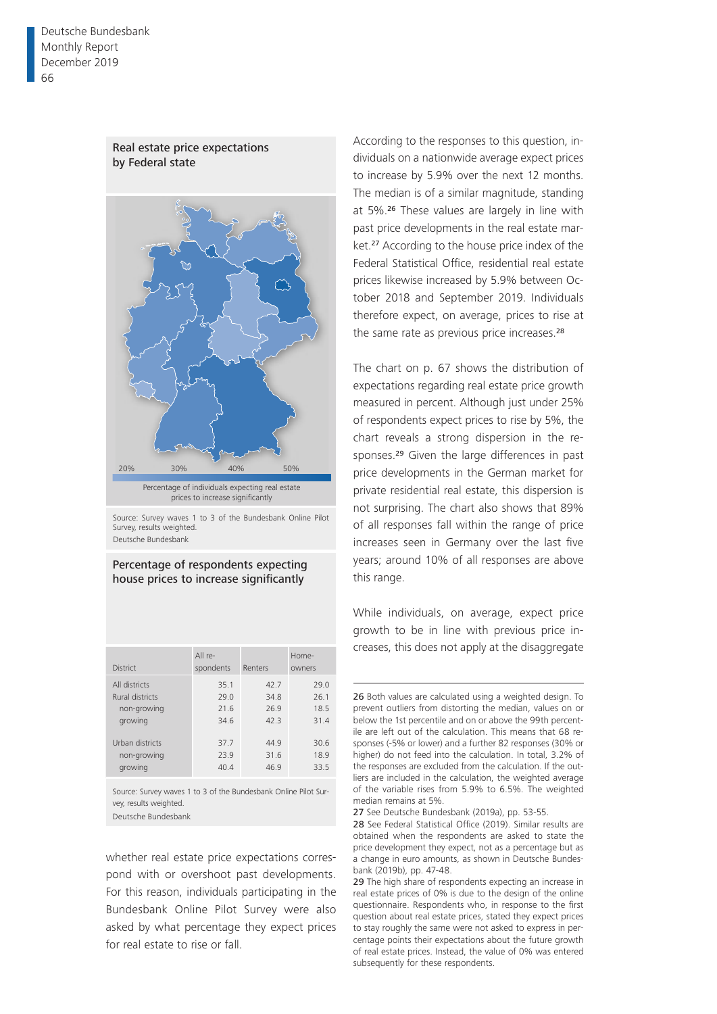Deutsche Bundesbank Monthly Report December 2019 66



Source: Survey waves 1 to 3 of the Bundesbank Online Pilot Survey, results weighted.

Deutsche Bundesbank

#### Percentage of respondents expecting house prices to increase significantly

| <b>District</b>                                                                                                | $All re-$<br>spondents                               | Renters                                            | Home-<br>owners                                      |
|----------------------------------------------------------------------------------------------------------------|------------------------------------------------------|----------------------------------------------------|------------------------------------------------------|
| All districts<br><b>Rural districts</b><br>non-growing<br>growing<br>Urban districts<br>non-growing<br>growing | 35.1<br>29.0<br>21.6<br>34.6<br>37.7<br>23.9<br>40.4 | 42.7<br>34.8<br>26.9<br>423<br>449<br>31.6<br>46.9 | 29.0<br>26.1<br>18.5<br>31.4<br>30.6<br>18.9<br>33.5 |
|                                                                                                                |                                                      |                                                    |                                                      |

Source: Survey waves 1 to 3 of the Bundesbank Online Pilot Survey, results weighted. Deutsche Bundesbank

whether real estate price expectations correspond with or overshoot past developments. For this reason, individuals participating in the Bundesbank Online Pilot Survey were also asked by what percentage they expect prices for real estate to rise or fall.

According to the responses to this question, individuals on a nationwide average expect prices to increase by 5.9% over the next 12 months. The median is of a similar magnitude, standing at 5%.26 These values are largely in line with past price developments in the real estate market.27 According to the house price index of the Federal Statistical Office, residential real estate prices likewise increased by 5.9% between October 2018 and September 2019. Individuals therefore expect, on average, prices to rise at the same rate as previous price increases.<sup>28</sup>

The chart on p. 67 shows the distribution of expectations regarding real estate price growth measured in percent. Although just under 25% of respondents expect prices to rise by 5%, the chart reveals a strong dispersion in the responses.29 Given the large differences in past price developments in the German market for private residential real estate, this dispersion is not surprising. The chart also shows that 89% of all responses fall within the range of price increases seen in Germany over the last five years; around 10% of all responses are above this range.

While individuals, on average, expect price growth to be in line with previous price increases, this does not apply at the disaggregate

27 See Deutsche Bundesbank (2019a), pp. 53-55.



<sup>26</sup> Both values are calculated using a weighted design. To prevent outliers from distorting the median, values on or below the 1st percentile and on or above the 99th percentile are left out of the calculation. This means that 68 responses (-5% or lower) and a further 82 responses (30% or higher) do not feed into the calculation. In total, 3.2% of the responses are excluded from the calculation. If the outliers are included in the calculation, the weighted average of the variable rises from 5.9% to 6.5%. The weighted median remains at 5%.

<sup>28</sup> See Federal Statistical Office (2019). Similar results are obtained when the respondents are asked to state the price development they expect, not as a percentage but as a change in euro amounts, as shown in Deutsche Bundesbank (2019b), pp. 47-48.

<sup>29</sup> The high share of respondents expecting an increase in real estate prices of 0% is due to the design of the online questionnaire. Respondents who, in response to the first question about real estate prices, stated they expect prices to stay roughly the same were not asked to express in percentage points their expectations about the future growth of real estate prices. Instead, the value of 0% was entered subsequently for these respondents.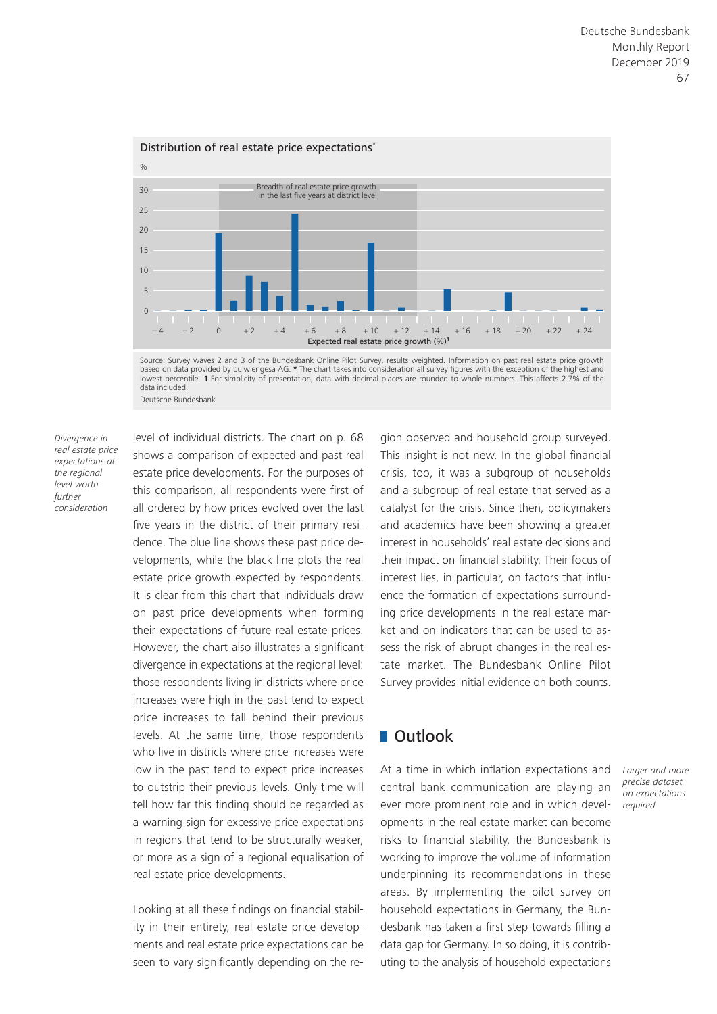Source: Survey waves 2 and 3 of the Bundesbank Online Pilot Survey, results weighted. Information on past real estate price growth – 4 – 2 0 + 2 + 4 + 6 + 8 + 10 + 12 + 14 + 16 + 18 + 20 + 22 + 24  $\Omega$ 5 10 15 20  $25$ 30 % Expected real estate price growth (%)**<sup>1</sup>** Breadth of real estate price growth in the last five years at district level



*Divergence in real estate price expectations at the regional level worth further consideration*

level of individual districts. The chart on p. 68 shows a comparison of expected and past real estate price developments. For the purposes of this comparison, all respondents were first of all ordered by how prices evolved over the last five years in the district of their primary residence. The blue line shows these past price developments, while the black line plots the real estate price growth expected by respondents. It is clear from this chart that individuals draw on past price developments when forming their expectations of future real estate prices. However, the chart also illustrates a significant divergence in expectations at the regional level: those respondents living in districts where price increases were high in the past tend to expect price increases to fall behind their previous levels. At the same time, those respondents who live in districts where price increases were low in the past tend to expect price increases to outstrip their previous levels. Only time will tell how far this finding should be regarded as a warning sign for excessive price expectations in regions that tend to be structurally weaker, or more as a sign of a regional equalisation of real estate price developments.

Looking at all these findings on financial stability in their entirety, real estate price developments and real estate price expectations can be seen to vary significantly depending on the region observed and household group surveyed. This insight is not new. In the global financial crisis, too, it was a subgroup of households and a subgroup of real estate that served as a catalyst for the crisis. Since then, policymakers and academics have been showing a greater interest in households' real estate decisions and their impact on financial stability. Their focus of interest lies, in particular, on factors that influence the formation of expectations surrounding price developments in the real estate market and on indicators that can be used to assess the risk of abrupt changes in the real estate market. The Bundesbank Online Pilot Survey provides initial evidence on both counts.

### **Dutlook**

At a time in which inflation expectations and central bank communication are playing an ever more prominent role and in which developments in the real estate market can become risks to financial stability, the Bundesbank is working to improve the volume of information underpinning its recommendations in these areas. By implementing the pilot survey on household expectations in Germany, the Bundesbank has taken a first step towards filling a data gap for Germany. In so doing, it is contributing to the analysis of household expectations

*Larger and more precise dataset on expectations required*

#### Distribution of real estate price expectations**\***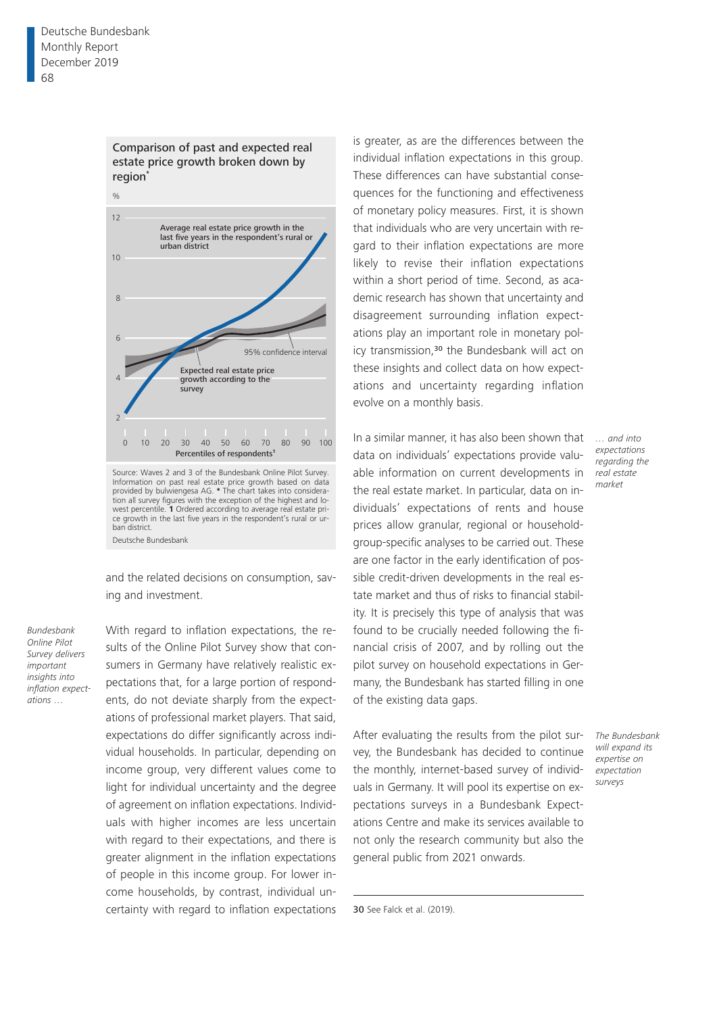Comparison of past and expected real estate price growth broken down by region**\***



and the related decisions on consumption, saving and investment.

Deutsche Bundesbank

*Bundesbank Online Pilot Survey delivers important insights into inflation expectations …*

With regard to inflation expectations, the results of the Online Pilot Survey show that consumers in Germany have relatively realistic expectations that, for a large portion of respondents, do not deviate sharply from the expectations of professional market players. That said, expectations do differ significantly across individual households. In particular, depending on income group, very different values come to light for individual uncertainty and the degree of agreement on inflation expectations. Individuals with higher incomes are less uncertain with regard to their expectations, and there is greater alignment in the inflation expectations of people in this income group. For lower income households, by contrast, individual uncertainty with regard to inflation expectations is greater, as are the differences between the individual inflation expectations in this group. These differences can have substantial consequences for the functioning and effectiveness of monetary policy measures. First, it is shown that individuals who are very uncertain with regard to their inflation expectations are more likely to revise their inflation expectations within a short period of time. Second, as academic research has shown that uncertainty and disagreement surrounding inflation expectations play an important role in monetary policy transmission,<sup>30</sup> the Bundesbank will act on these insights and collect data on how expectations and uncertainty regarding inflation evolve on a monthly basis.

In a similar manner, it has also been shown that data on individuals' expectations provide valuable information on current developments in the real estate market. In particular, data on individuals' expectations of rents and house prices allow granular, regional or householdgroup-specific analyses to be carried out. These are one factor in the early identification of possible credit-driven developments in the real estate market and thus of risks to financial stability. It is precisely this type of analysis that was found to be crucially needed following the financial crisis of 2007, and by rolling out the pilot survey on household expectations in Germany, the Bundesbank has started filling in one of the existing data gaps.

After evaluating the results from the pilot survey, the Bundesbank has decided to continue the monthly, internet-based survey of individuals in Germany. It will pool its expertise on expectations surveys in a Bundesbank Expectations Centre and make its services available to not only the research community but also the general public from 2021 onwards.

*… and into expectations regarding the real estate market*

*The Bundesbank will expand its expertise on expectation surveys*

30 See Falck et al. (2019).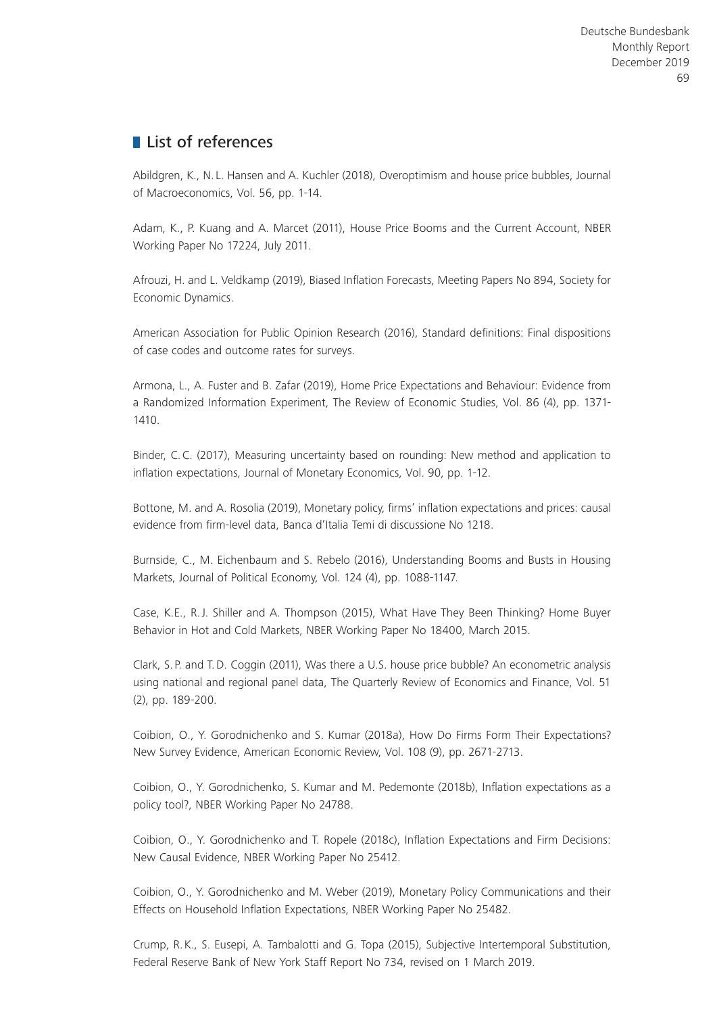# **List of references**

Abildgren, K., N. L. Hansen and A. Kuchler (2018), Overoptimism and house price bubbles, Journal of Macroeconomics, Vol. 56, pp. 1-14.

Adam, K., P. Kuang and A. Marcet (2011), House Price Booms and the Current Account, NBER Working Paper No 17224, July 2011.

Afrouzi, H. and L. Veldkamp (2019), Biased Inflation Forecasts, Meeting Papers No 894, Society for Economic Dynamics.

American Association for Public Opinion Research (2016), Standard definitions: Final dispositions of case codes and outcome rates for surveys.

Armona, L., A. Fuster and B. Zafar (2019), Home Price Expectations and Behaviour: Evidence from a Randomized Information Experiment, The Review of Economic Studies, Vol. 86 (4), pp. 1371- 1410.

Binder, C.C. (2017), Measuring uncertainty based on rounding: New method and application to inflation expectations, Journal of Monetary Economics, Vol. 90, pp. 1-12.

Bottone, M. and A. Rosolia (2019), Monetary policy, firms' inflation expectations and prices: causal evidence from firm-level data, Banca d'Italia Temi di discussione No 1218.

Burnside, C., M. Eichenbaum and S. Rebelo (2016), Understanding Booms and Busts in Housing Markets, Journal of Political Economy, Vol. 124 (4), pp. 1088-1147.

Case, K.E., R.J. Shiller and A. Thompson (2015), What Have They Been Thinking? Home Buyer Behavior in Hot and Cold Markets, NBER Working Paper No 18400, March 2015.

Clark, S. P. and T.D. Coggin (2011), Was there a U.S. house price bubble? An econometric analysis using national and regional panel data, The Quarterly Review of Economics and Finance, Vol. 51 (2), pp. 189-200.

Coibion, O., Y. Gorodnichenko and S. Kumar (2018a), How Do Firms Form Their Expectations? New Survey Evidence, American Economic Review, Vol. 108 (9), pp. 2671-2713.

Coibion, O., Y. Gorodnichenko, S. Kumar and M. Pedemonte (2018b), Inflation expectations as a policy tool?, NBER Working Paper No 24788.

Coibion, O., Y. Gorodnichenko and T. Ropele (2018c), Inflation Expectations and Firm Decisions: New Causal Evidence, NBER Working Paper No 25412.

Coibion, O., Y. Gorodnichenko and M. Weber (2019), Monetary Policy Communications and their Effects on Household Inflation Expectations, NBER Working Paper No 25482.

Crump, R.K., S. Eusepi, A. Tambalotti and G. Topa (2015), Subjective Intertemporal Substitution, Federal Reserve Bank of New York Staff Report No 734, revised on 1 March 2019.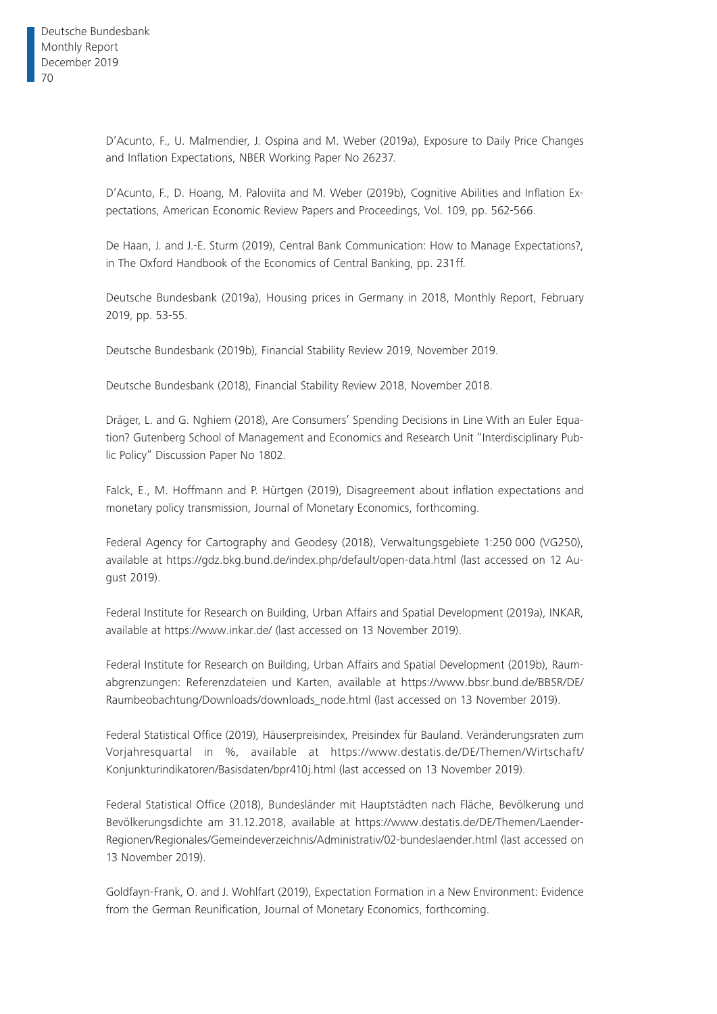D'Acunto, F., U. Malmendier, J. Ospina and M. Weber (2019a), Exposure to Daily Price Changes and Inflation Expectations, NBER Working Paper No 26237.

D'Acunto, F., D. Hoang, M. Paloviita and M. Weber (2019b), Cognitive Abilities and Inflation Expectations, American Economic Review Papers and Proceedings, Vol. 109, pp. 562-566.

De Haan, J. and J.-E. Sturm (2019), Central Bank Communication: How to Manage Expectations?, in The Oxford Handbook of the Economics of Central Banking, pp. 231ff.

Deutsche Bundesbank (2019a), Housing prices in Germany in 2018, Monthly Report, February 2019, pp. 53-55.

Deutsche Bundesbank (2019b), Financial Stability Review 2019, November 2019.

Deutsche Bundesbank (2018), Financial Stability Review 2018, November 2018.

Dräger, L. and G. Nghiem (2018), Are Consumers' Spending Decisions in Line With an Euler Equation? Gutenberg School of Management and Economics and Research Unit "Interdisciplinary Public Policy" Discussion Paper No 1802.

Falck, E., M. Hoffmann and P. Hürtgen (2019), Disagreement about inflation expectations and monetary policy transmission, Journal of Monetary Economics, forthcoming.

Federal Agency for Cartography and Geodesy (2018), Verwaltungsgebiete 1:250 000 (VG250), available at <https://gdz.bkg.bund.de/index.php/default/open-data.html>(last accessed on 12 August 2019).

Federal Institute for Research on Building, Urban Affairs and Spatial Development (2019a), INKAR, available at [https://www.inkar.de/](https://www.inkar.de) (last accessed on 13 November 2019).

Federal Institute for Research on Building, Urban Affairs and Spatial Development (2019b), Raumabgrenzungen: Referenzdateien und Karten, available at [https://www.bbsr.bund.de/BBSR/DE/](https://www.bbsr.bund.de/BBSR/DE/Raumbeobachtung/Downloads/downloads_node.html) [Raumbeobachtung/Downloads/downloads\\_node.html](https://www.bbsr.bund.de/BBSR/DE/Raumbeobachtung/Downloads/downloads_node.html) (last accessed on 13 November 2019).

Federal Statistical Office (2019), Häuserpreisindex, Preisindex für Bauland. Veränderungsraten zum Vorjahresquartal in %, available at [https://www.destatis.de/DE/Themen/Wirtschaft/](https://www.destatis.de/DE/Themen/Wirtschaft/Konjunkturindikatoren/Basisdaten/bpr410j.html) [Konjunkturindikatoren/Basisdaten/bpr410j.html](https://www.destatis.de/DE/Themen/Wirtschaft/Konjunkturindikatoren/Basisdaten/bpr410j.html) (last accessed on 13 November 2019).

Federal Statistical Office (2018), Bundesländer mit Hauptstädten nach Fläche, Bevölkerung und Bevölkerungsdichte am 31.12.2018, available at [https://www.destatis.de/DE/Themen/Laender-](https://www.destatis.de/DE/Themen/Laender-Regionen/Regionales/Gemeindeverzeichnis/Administrativ/02-bundeslaender.html)[Regionen/Regionales/Gemeindeverzeichnis/Administrativ/02-bundeslaender.html](https://www.destatis.de/DE/Themen/Laender-Regionen/Regionales/Gemeindeverzeichnis/Administrativ/02-bundeslaender.html) (last accessed on 13 November 2019).

Goldfayn-Frank, O. and J. Wohlfart (2019), Expectation Formation in a New Environment: Evidence from the German Reunification, Journal of Monetary Economics, forthcoming.